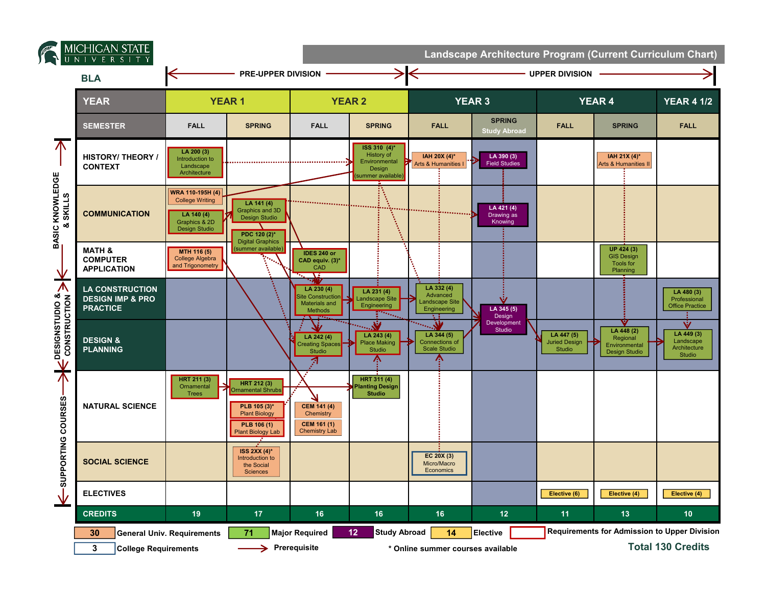